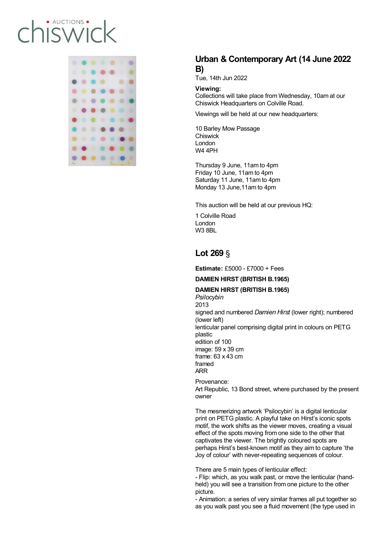# · AUCTIONS  $ISWAT$



## **Urban & Contemporary Art (14 June 2022 B)**

Tue, 14th Jun 2022

### **Viewing:**

Collections will take place from Wednesday, 10am at our Chiswick Headquarters on Colville Road.

Viewings will be held at our new headquarters:

10 Barley Mow Passage **Chiswick** London W4 4PH

Thursday 9 June, 11am to 4pm Friday 10 June, 11am to 4pm Saturday 11 June, 11am to 4pm Monday 13 June,11am to 4pm

This auction will be held at our previous HQ:

1 Colville Road London W3 8BL

## **Lot 269** §

**Estimate:** £5000 - £7000 + Fees

### **DAMIEN HIRST (BRITISH B.1965)**

## **DAMIEN HIRST (BRITISH B.1965)**

*Psilocybin* 2013 signed and numbered *Damien Hirst* (lower right); numbered (lower left) lenticular panel comprising digital print in colours on PETG plastic edition of 100 image: 59 x 39 cm frame: 63 x 43 cm framed ARR Provenance:

Art Republic, 13 Bond street, where purchased by the present owner

The mesmerizing artwork 'Psilocybin' is a digital lenticular print on PETG plastic. A playful take on Hirst's iconic spots motif, the work shifts as the viewer moves, creating a visual effect of the spots moving from one side to the other that captivates the viewer. The brightly coloured spots are perhaps Hirst's best-known motif as they aim to capture 'the Joy of colour' with never-repeating sequences of colour.

There are 5 main types of lenticular effect:

- Flip: which, as you walk past, or move the lenticular (handheld) you will see a transition from one picture to the other picture.

- Animation: a series of very similar frames all put together so as you walk past you see a fluid movement (the type used in